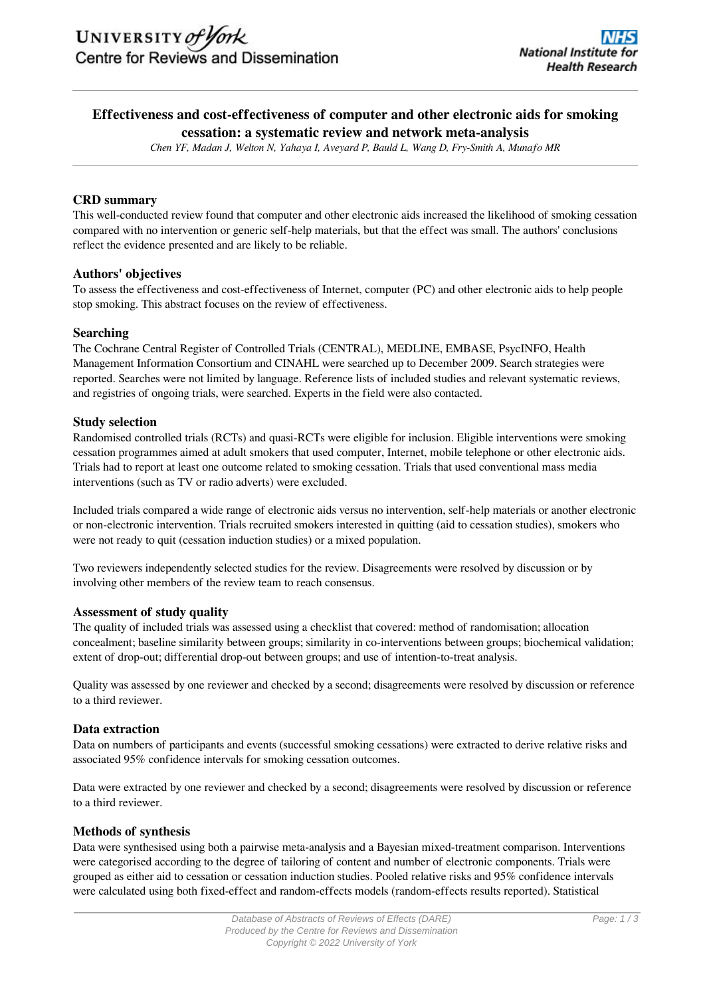## **Effectiveness and cost-effectiveness of computer and other electronic aids for smoking cessation: a systematic review and network meta-analysis**

*Chen YF, Madan J, Welton N, Yahaya I, Aveyard P, Bauld L, Wang D, Fry-Smith A, Munafo MR*

## **CRD summary**

This well-conducted review found that computer and other electronic aids increased the likelihood of smoking cessation compared with no intervention or generic self-help materials, but that the effect was small. The authors' conclusions reflect the evidence presented and are likely to be reliable.

#### **Authors' objectives**

To assess the effectiveness and cost-effectiveness of Internet, computer (PC) and other electronic aids to help people stop smoking. This abstract focuses on the review of effectiveness.

#### **Searching**

The Cochrane Central Register of Controlled Trials (CENTRAL), MEDLINE, EMBASE, PsycINFO, Health Management Information Consortium and CINAHL were searched up to December 2009. Search strategies were reported. Searches were not limited by language. Reference lists of included studies and relevant systematic reviews, and registries of ongoing trials, were searched. Experts in the field were also contacted.

#### **Study selection**

Randomised controlled trials (RCTs) and quasi-RCTs were eligible for inclusion. Eligible interventions were smoking cessation programmes aimed at adult smokers that used computer, Internet, mobile telephone or other electronic aids. Trials had to report at least one outcome related to smoking cessation. Trials that used conventional mass media interventions (such as TV or radio adverts) were excluded.

Included trials compared a wide range of electronic aids versus no intervention, self-help materials or another electronic or non-electronic intervention. Trials recruited smokers interested in quitting (aid to cessation studies), smokers who were not ready to quit (cessation induction studies) or a mixed population.

Two reviewers independently selected studies for the review. Disagreements were resolved by discussion or by involving other members of the review team to reach consensus.

## **Assessment of study quality**

The quality of included trials was assessed using a checklist that covered: method of randomisation; allocation concealment; baseline similarity between groups; similarity in co-interventions between groups; biochemical validation; extent of drop-out; differential drop-out between groups; and use of intention-to-treat analysis.

Quality was assessed by one reviewer and checked by a second; disagreements were resolved by discussion or reference to a third reviewer.

#### **Data extraction**

Data on numbers of participants and events (successful smoking cessations) were extracted to derive relative risks and associated 95% confidence intervals for smoking cessation outcomes.

Data were extracted by one reviewer and checked by a second; disagreements were resolved by discussion or reference to a third reviewer.

#### **Methods of synthesis**

Data were synthesised using both a pairwise meta-analysis and a Bayesian mixed-treatment comparison. Interventions were categorised according to the degree of tailoring of content and number of electronic components. Trials were grouped as either aid to cessation or cessation induction studies. Pooled relative risks and 95% confidence intervals were calculated using both fixed-effect and random-effects models (random-effects results reported). Statistical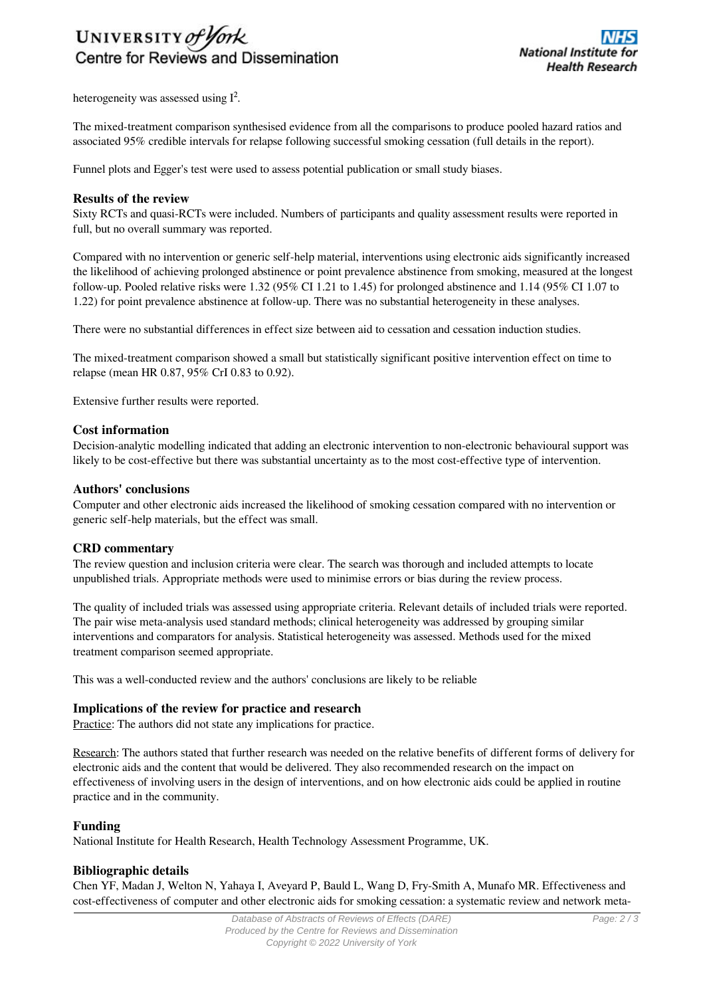

heterogeneity was assessed using  $I^2$ .

The mixed-treatment comparison synthesised evidence from all the comparisons to produce pooled hazard ratios and associated 95% credible intervals for relapse following successful smoking cessation (full details in the report).

Funnel plots and Egger's test were used to assess potential publication or small study biases.

### **Results of the review**

Sixty RCTs and quasi-RCTs were included. Numbers of participants and quality assessment results were reported in full, but no overall summary was reported.

Compared with no intervention or generic self-help material, interventions using electronic aids significantly increased the likelihood of achieving prolonged abstinence or point prevalence abstinence from smoking, measured at the longest follow-up. Pooled relative risks were 1.32 (95% CI 1.21 to 1.45) for prolonged abstinence and 1.14 (95% CI 1.07 to 1.22) for point prevalence abstinence at follow-up. There was no substantial heterogeneity in these analyses.

There were no substantial differences in effect size between aid to cessation and cessation induction studies.

The mixed-treatment comparison showed a small but statistically significant positive intervention effect on time to relapse (mean HR 0.87, 95% CrI 0.83 to 0.92).

Extensive further results were reported.

#### **Cost information**

Decision-analytic modelling indicated that adding an electronic intervention to non-electronic behavioural support was likely to be cost-effective but there was substantial uncertainty as to the most cost-effective type of intervention.

#### **Authors' conclusions**

Computer and other electronic aids increased the likelihood of smoking cessation compared with no intervention or generic self-help materials, but the effect was small.

#### **CRD commentary**

The review question and inclusion criteria were clear. The search was thorough and included attempts to locate unpublished trials. Appropriate methods were used to minimise errors or bias during the review process.

The quality of included trials was assessed using appropriate criteria. Relevant details of included trials were reported. The pair wise meta-analysis used standard methods; clinical heterogeneity was addressed by grouping similar interventions and comparators for analysis. Statistical heterogeneity was assessed. Methods used for the mixed treatment comparison seemed appropriate.

This was a well-conducted review and the authors' conclusions are likely to be reliable

#### **Implications of the review for practice and research**

Practice: The authors did not state any implications for practice.

Research: The authors stated that further research was needed on the relative benefits of different forms of delivery for electronic aids and the content that would be delivered. They also recommended research on the impact on effectiveness of involving users in the design of interventions, and on how electronic aids could be applied in routine practice and in the community.

#### **Funding**

National Institute for Health Research, Health Technology Assessment Programme, UK.

#### **Bibliographic details**

Chen YF, Madan J, Welton N, Yahaya I, Aveyard P, Bauld L, Wang D, Fry-Smith A, Munafo MR. Effectiveness and cost-effectiveness of computer and other electronic aids for smoking cessation: a systematic review and network meta-